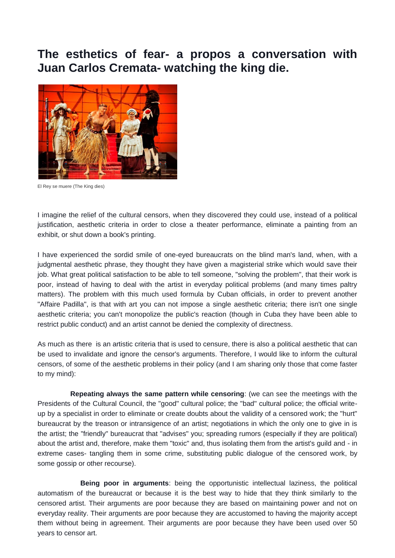## **The esthetics of fear- a propos a conversation with Juan Carlos Cremata- watching the king die.**



El Rey se muere (The King dies)

I imagine the relief of the cultural censors, when they discovered they could use, instead of a political justification, aesthetic criteria in order to close a theater performance, eliminate a painting from an exhibit, or shut down a book's printing.

I have experienced the sordid smile of one-eyed bureaucrats on the blind man's land, when, with a judgmental aesthetic phrase, they thought they have given a magisterial strike which would save their job. What great political satisfaction to be able to tell someone, "solving the problem", that their work is poor, instead of having to deal with the artist in everyday political problems (and many times paltry matters). The problem with this much used formula by Cuban officials, in order to prevent another "Affaire Padilla", is that with art you can not impose a single aesthetic criteria; there isn't one single aesthetic criteria; you can't monopolize the public's reaction (though in Cuba they have been able to restrict public conduct) and an artist cannot be denied the complexity of directness.

As much as there is an artistic criteria that is used to censure, there is also a political aesthetic that can be used to invalidate and ignore the censor's arguments. Therefore, I would like to inform the cultural censors, of some of the aesthetic problems in their policy (and I am sharing only those that come faster to my mind):

**Repeating always the same pattern while censoring**: (we can see the meetings with the Presidents of the Cultural Council, the "good" cultural police; the "bad" cultural police; the official writeup by a specialist in order to eliminate or create doubts about the validity of a censored work; the "hurt" bureaucrat by the treason or intransigence of an artist; negotiations in which the only one to give in is the artist; the "friendly" bureaucrat that "advises" you; spreading rumors (especially if they are political) about the artist and, therefore, make them "toxic" and, thus isolating them from the artist's guild and - in extreme cases- tangling them in some crime, substituting public dialogue of the censored work, by some gossip or other recourse).

**Being poor in arguments**: being the opportunistic intellectual laziness, the political automatism of the bureaucrat or because it is the best way to hide that they think similarly to the censored artist. Their arguments are poor because they are based on maintaining power and not on everyday reality. Their arguments are poor because they are accustomed to having the majority accept them without being in agreement. Their arguments are poor because they have been used over 50 years to censor art.